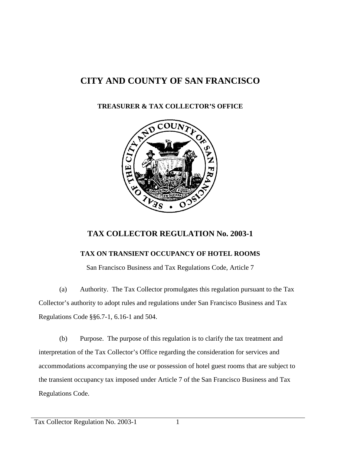## **CITY AND COUNTY OF SAN FRANCISCO**

## **TREASURER & TAX COLLECTOR'S OFFICE**



## **TAX COLLECTOR REGULATION No. 2003-1**

## **TAX ON TRANSIENT OCCUPANCY OF HOTEL ROOMS**

San Francisco Business and Tax Regulations Code, Article 7

(a) Authority. The Tax Collector promulgates this regulation pursuant to the Tax Collector's authority to adopt rules and regulations under San Francisco Business and Tax Regulations Code §§6.7-1, 6.16-1 and 504.

(b) Purpose. The purpose of this regulation is to clarify the tax treatment and interpretation of the Tax Collector's Office regarding the consideration for services and accommodations accompanying the use or possession of hotel guest rooms that are subject to the transient occupancy tax imposed under Article 7 of the San Francisco Business and Tax Regulations Code.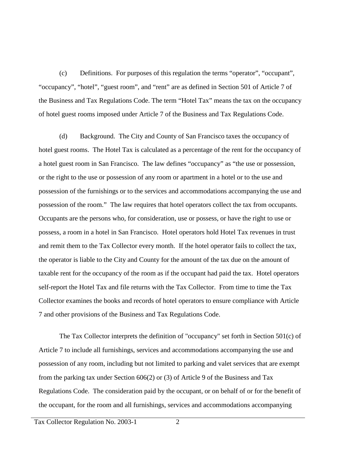(c) Definitions. For purposes of this regulation the terms "operator", "occupant", "occupancy", "hotel", "guest room", and "rent" are as defined in Section 501 of Article 7 of the Business and Tax Regulations Code. The term "Hotel Tax" means the tax on the occupancy of hotel guest rooms imposed under Article 7 of the Business and Tax Regulations Code.

(d) Background. The City and County of San Francisco taxes the occupancy of hotel guest rooms. The Hotel Tax is calculated as a percentage of the rent for the occupancy of a hotel guest room in San Francisco. The law defines "occupancy" as "the use or possession, or the right to the use or possession of any room or apartment in a hotel or to the use and possession of the furnishings or to the services and accommodations accompanying the use and possession of the room." The law requires that hotel operators collect the tax from occupants. Occupants are the persons who, for consideration, use or possess, or have the right to use or possess, a room in a hotel in San Francisco. Hotel operators hold Hotel Tax revenues in trust and remit them to the Tax Collector every month. If the hotel operator fails to collect the tax, the operator is liable to the City and County for the amount of the tax due on the amount of taxable rent for the occupancy of the room as if the occupant had paid the tax. Hotel operators self-report the Hotel Tax and file returns with the Tax Collector. From time to time the Tax Collector examines the books and records of hotel operators to ensure compliance with Article 7 and other provisions of the Business and Tax Regulations Code.

The Tax Collector interprets the definition of "occupancy" set forth in Section 501(c) of Article 7 to include all furnishings, services and accommodations accompanying the use and possession of any room, including but not limited to parking and valet services that are exempt from the parking tax under Section 606(2) or (3) of Article 9 of the Business and Tax Regulations Code. The consideration paid by the occupant, or on behalf of or for the benefit of the occupant, for the room and all furnishings, services and accommodations accompanying